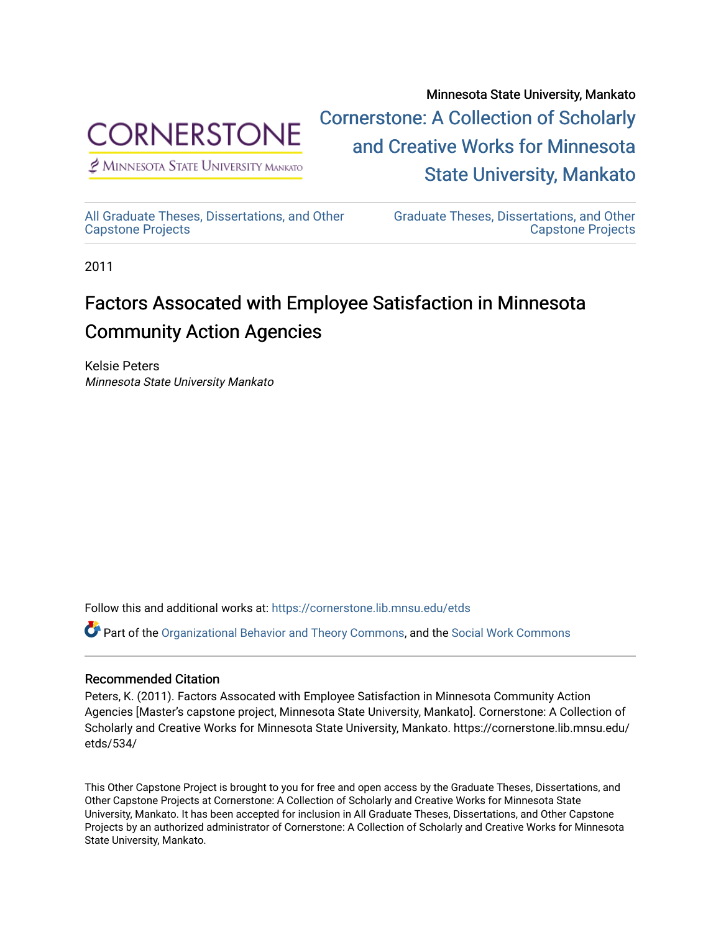

 $<sup>2</sup>$  Minnesota State University Mankato</sup>

Minnesota State University, Mankato [Cornerstone: A Collection of Scholarly](https://cornerstone.lib.mnsu.edu/)  [and Creative Works for Minnesota](https://cornerstone.lib.mnsu.edu/)  [State University, Mankato](https://cornerstone.lib.mnsu.edu/) 

[All Graduate Theses, Dissertations, and Other](https://cornerstone.lib.mnsu.edu/etds)  [Capstone Projects](https://cornerstone.lib.mnsu.edu/etds) 

[Graduate Theses, Dissertations, and Other](https://cornerstone.lib.mnsu.edu/theses_dissertations-capstone)  [Capstone Projects](https://cornerstone.lib.mnsu.edu/theses_dissertations-capstone) 

2011

#### Factors Assocated with Employee Satisfaction in Minnesota Community Action Agencies

Kelsie Peters Minnesota State University Mankato

Follow this and additional works at: [https://cornerstone.lib.mnsu.edu/etds](https://cornerstone.lib.mnsu.edu/etds?utm_source=cornerstone.lib.mnsu.edu%2Fetds%2F534&utm_medium=PDF&utm_campaign=PDFCoverPages) 

Part of the [Organizational Behavior and Theory Commons,](http://network.bepress.com/hgg/discipline/639?utm_source=cornerstone.lib.mnsu.edu%2Fetds%2F534&utm_medium=PDF&utm_campaign=PDFCoverPages) and the [Social Work Commons](http://network.bepress.com/hgg/discipline/713?utm_source=cornerstone.lib.mnsu.edu%2Fetds%2F534&utm_medium=PDF&utm_campaign=PDFCoverPages) 

#### Recommended Citation

Peters, K. (2011). Factors Assocated with Employee Satisfaction in Minnesota Community Action Agencies [Master's capstone project, Minnesota State University, Mankato]. Cornerstone: A Collection of Scholarly and Creative Works for Minnesota State University, Mankato. https://cornerstone.lib.mnsu.edu/ etds/534/

This Other Capstone Project is brought to you for free and open access by the Graduate Theses, Dissertations, and Other Capstone Projects at Cornerstone: A Collection of Scholarly and Creative Works for Minnesota State University, Mankato. It has been accepted for inclusion in All Graduate Theses, Dissertations, and Other Capstone Projects by an authorized administrator of Cornerstone: A Collection of Scholarly and Creative Works for Minnesota State University, Mankato.